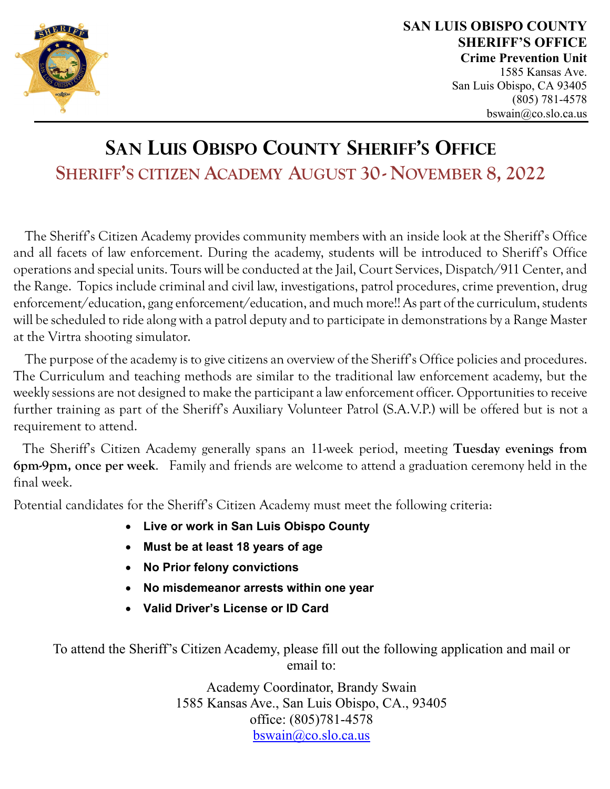

1585 Kansas Ave. San Luis Obispo, CA 93405 (805) 781-4578 bswain@co.slo.ca.us

## **SAN LUIS OBISPO COUNTY SHERIFF'S OFFICE SHERIFF'S CITIZEN ACADEMY AUGUST 30- NOVEMBER 8, 2022**

 The Sheriff's Citizen Academy provides community members with an inside look at the Sheriff's Office and all facets of law enforcement. During the academy, students will be introduced to Sheriff's Office operations and special units. Tours will be conducted at the Jail, Court Services, Dispatch/911 Center, and the Range. Topics include criminal and civil law, investigations, patrol procedures, crime prevention, drug enforcement/education, gang enforcement/education, and much more!! As part of the curriculum, students will be scheduled to ride along with a patrol deputy and to participate in demonstrations by a Range Master at the Virtra shooting simulator.

The purpose of the academy is to give citizens an overview of the Sheriff's Office policies and procedures. The Curriculum and teaching methods are similar to the traditional law enforcement academy, but the weekly sessions are not designed to make the participant a law enforcement officer. Opportunities to receive further training as part of the Sheriff's Auxiliary Volunteer Patrol (S.A.V.P.) will be offered but is not a requirement to attend.

The Sheriff's Citizen Academy generally spans an 11-week period, meeting **Tuesday evenings from 6pm-9pm, once per week**. Family and friends are welcome to attend a graduation ceremony held in the final week.

Potential candidates for the Sheriff's Citizen Academy must meet the following criteria:

- **Live or work in San Luis Obispo County**
- **Must be at least 18 years of age**
- **No Prior felony convictions**
- **No misdemeanor arrests within one year**
- **Valid Driver's License or ID Card**

To attend the Sheriff's Citizen Academy, please fill out the following application and mail or email to:

> Academy Coordinator, Brandy Swain 1585 Kansas Ave., San Luis Obispo, CA., 93405 office: (805)781-4578 bswain@co.slo.ca.us